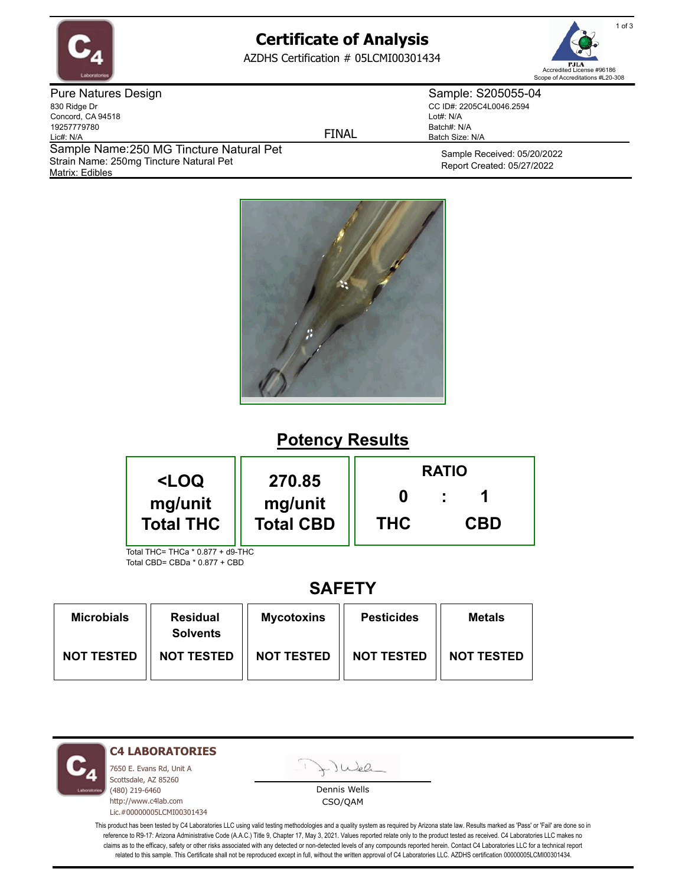

# **Certificate of Analysis**

AZDHS Certification # 05LCMI00301434



Pure Natures Design 830 Ridge Dr Concord, CA 94518 19257779780 Lic#: N/A Matrix: Edibles Sample Name: 250 MG Tincture Natural Pet Strain Name: 250mg Tincture Natural Pet

FINAL

Sample: S205055-04 CC ID#: 2205C4L0046.2594 Lot#: N/A Batch#: N/A Batch Size: N/A

> Sample Received: 05/20/2022 Report Created: 05/27/2022



## **Potency Results**

|                                                                                           |            | <b>RATIO</b> |  |  |
|-------------------------------------------------------------------------------------------|------------|--------------|--|--|
| <loq<br>270.85<br/>mg/unit<br/>mg/unit<br/><b>Total THC</b><br/><b>Total CBD</b></loq<br> | <b>THC</b> | <b>CBD</b>   |  |  |
| Total THC= THCa * 0.877 + d9-THC                                                          |            |              |  |  |

Total CBD= CBDa \* 0.877 + CBD

### **SAFETY**

| <b>Microbials</b> | <b>Residual</b><br><b>Solvents</b> | <b>Mycotoxins</b> | <b>Pesticides</b> | Metals            |
|-------------------|------------------------------------|-------------------|-------------------|-------------------|
| <b>NOT TESTED</b> | <b>NOT TESTED</b>                  | <b>NOT TESTED</b> | <b>NOT TESTED</b> | <b>NOT TESTED</b> |

**C4 LABORATORIES**

7650 E. Evans Rd, Unit A Scottsdale, AZ 85260 (480) 219-6460 http://www.c4lab.com Lic.#00000005LCMI00301434 Juea

Dennis Wells CSO/QAM

This product has been tested by C4 Laboratories LLC using valid testing methodologies and a quality system as required by Arizona state law. Results marked as 'Pass' or 'Fail' are done so in reference to R9-17: Arizona Administrative Code (A.A.C.) Title 9, Chapter 17, May 3, 2021. Values reported relate only to the product tested as received. C4 Laboratories LLC makes no claims as to the efficacy, safety or other risks associated with any detected or non-detected levels of any compounds reported herein. Contact C4 Laboratories LLC for a technical report related to this sample. This Certificate shall not be reproduced except in full, without the written approval of C4 Laboratories LLC. AZDHS certification 00000005LCMI00301434.

1 of 3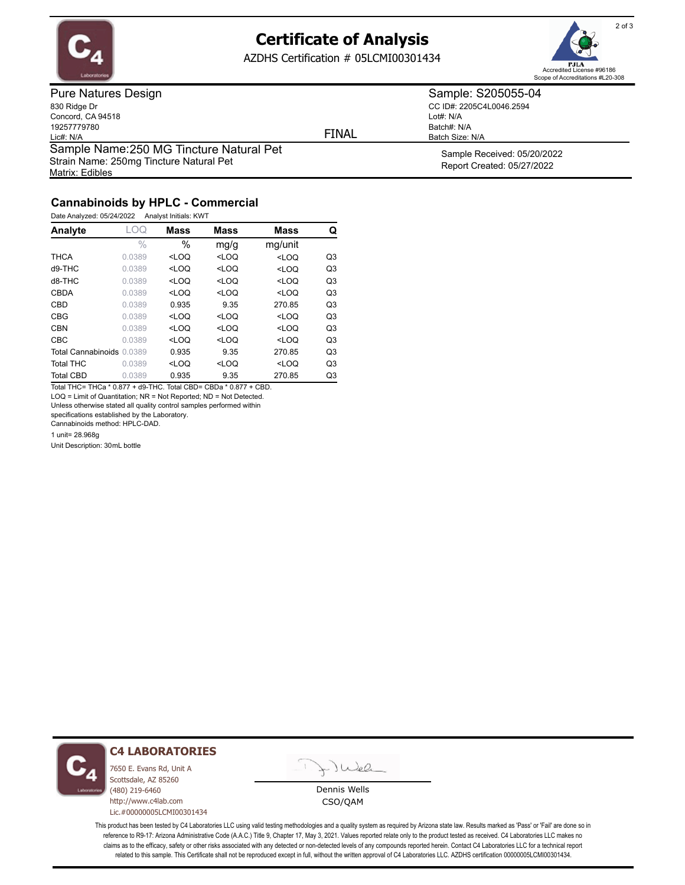

### **Certificate of Analysis**

AZDHS Certification # 05LCMI00301434



Pure Natures Design 830 Ridge Dr Concord, CA 94518 19257779780 Lic#: N/A Matrix: Edibles Sample Name: 250 MG Tincture Natural Pet Strain Name: 250mg Tincture Natural Pet

FINAL

Lot#: N/A Batch#: N/A

Batch Size: N/A

Sample: S205055-04 CC ID#: 2205C4L0046.2594

> Sample Received: 05/20/2022 Report Created: 05/27/2022

### **Cannabinoids by HPLC - Commercial**

Date Analyzed: 05/24/2022 Analyst Initials: KWT

| Analyte                   | . OQ          | <b>Mass</b>                                                                                        | <b>Mass</b>                                                            | <b>Mass</b> | Q              |
|---------------------------|---------------|----------------------------------------------------------------------------------------------------|------------------------------------------------------------------------|-------------|----------------|
|                           | $\frac{0}{0}$ | $\%$                                                                                               | mg/g                                                                   | mg/unit     |                |
| <b>THCA</b>               | 0.0389        | $<$ LOQ                                                                                            | $<$ LOQ                                                                | $<$ LOQ     | Q3             |
| d9-THC                    | 0.0389        | <loq< td=""><td><loq< td=""><td><math>&lt;</math>LOQ</td><td>Q<sub>3</sub></td></loq<></td></loq<> | <loq< td=""><td><math>&lt;</math>LOQ</td><td>Q<sub>3</sub></td></loq<> | $<$ LOQ     | Q <sub>3</sub> |
| d8-THC                    | 0.0389        | $<$ LOQ                                                                                            | $<$ LOQ                                                                | $<$ LOQ     | Q <sub>3</sub> |
| CBDA                      | 0.0389        | $<$ LOO                                                                                            | $<$ LOO                                                                | $<$ LOO     | Q <sub>3</sub> |
| <b>CBD</b>                | 0.0389        | 0.935                                                                                              | 9.35                                                                   | 270.85      | Q <sub>3</sub> |
| <b>CBG</b>                | 0.0389        | $<$ LOQ                                                                                            | $<$ LOQ                                                                | $<$ LOQ     | Q <sub>3</sub> |
| <b>CBN</b>                | 0.0389        | $<$ LOO                                                                                            | $<$ LOQ                                                                | $<$ LOO     | Q <sub>3</sub> |
| <b>CBC</b>                | 0.0389        | $<$ LOQ                                                                                            | $<$ LOQ                                                                | $<$ LOQ     | Q <sub>3</sub> |
| Total Cannabinoids 0.0389 |               | 0.935                                                                                              | 9.35                                                                   | 270.85      | Q <sub>3</sub> |
| <b>Total THC</b>          | 0.0389        | $<$ LOQ                                                                                            | $<$ LOQ                                                                | $<$ LOQ     | Q <sub>3</sub> |
| <b>Total CBD</b>          | 0.0389        | 0.935                                                                                              | 9.35                                                                   | 270.85      | Q3             |

Total THC= THCa \* 0.877 + d9-THC. Total CBD= CBDa \* 0.877 + CBD. LOQ = Limit of Quantitation; NR = Not Reported; ND = Not Detected.

Unless otherwise stated all quality control samples performed within

specifications established by the Laboratory.

Cannabinoids method: HPLC-DAD.

1 unit= 28.968g

Unit Description: 30mL bottle



#### **C4 LABORATORIES**

7650 E. Evans Rd, Unit A Scottsdale, AZ 85260 (480) 219-6460 http://www.c4lab.com Lic.#00000005LCMI00301434

Juel

Dennis Wells CSO/QAM

This product has been tested by C4 Laboratories LLC using valid testing methodologies and a quality system as required by Arizona state law. Results marked as 'Pass' or 'Fail' are done so in reference to R9-17: Arizona Administrative Code (A.A.C.) Title 9, Chapter 17, May 3, 2021. Values reported relate only to the product tested as received. C4 Laboratories LLC makes no claims as to the efficacy, safety or other risks associated with any detected or non-detected levels of any compounds reported herein. Contact C4 Laboratories LLC for a technical report related to this sample. This Certificate shall not be reproduced except in full, without the written approval of C4 Laboratories LLC. AZDHS certification 00000005LCMI00301434.

2 of 3